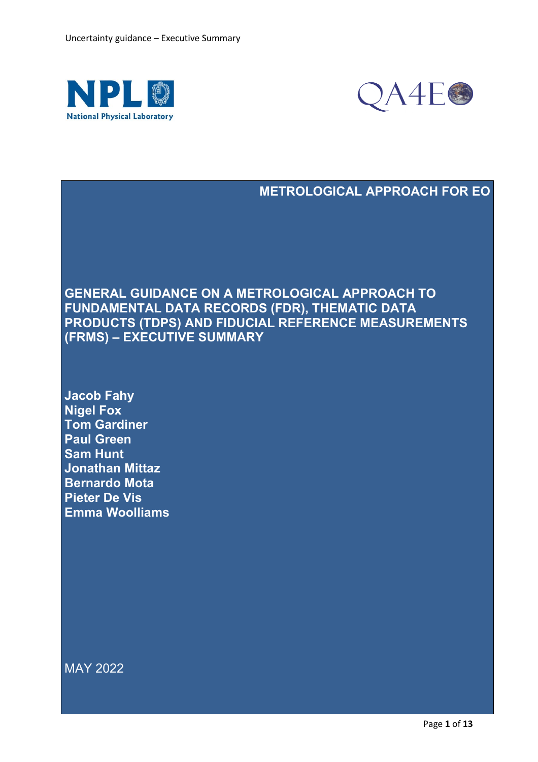



### **METROLOGICAL APPROACH FOR EO**

**GENERAL GUIDANCE ON A METROLOGICAL APPROACH TO FUNDAMENTAL DATA RECORDS (FDR), THEMATIC DATA PRODUCTS (TDPS) AND FIDUCIAL REFERENCE MEASUREMENTS (FRMS) – EXECUTIVE SUMMARY**

**Jacob Fahy Nigel Fox Tom Gardiner Paul Green Sam Hunt Jonathan Mittaz Bernardo Mota Pieter De Vis Emma Woolliams**

MAY 2022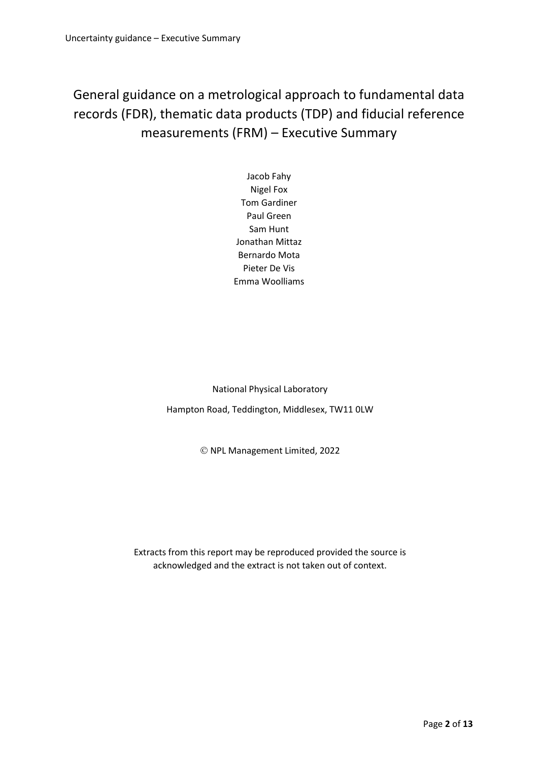General guidance on a metrological approach to fundamental data records (FDR), thematic data products (TDP) and fiducial reference measurements (FRM) – Executive Summary

> Jacob Fahy Nigel Fox Tom Gardiner Paul Green Sam Hunt Jonathan Mittaz Bernardo Mota Pieter De Vis Emma Woolliams

National Physical Laboratory

Hampton Road, Teddington, Middlesex, TW11 0LW

© NPL Management Limited, 2022

Extracts from this report may be reproduced provided the source is acknowledged and the extract is not taken out of context.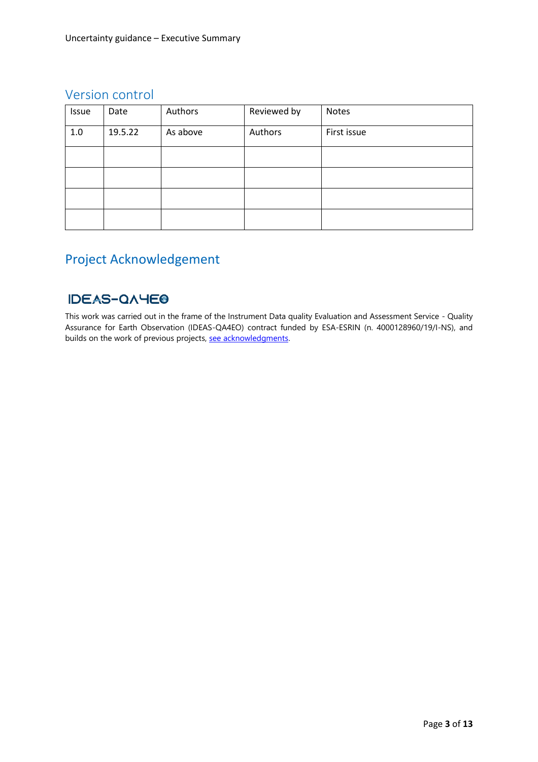### Version control

| Issue | Date    | Authors  | Reviewed by | Notes       |
|-------|---------|----------|-------------|-------------|
| $1.0$ | 19.5.22 | As above | Authors     | First issue |
|       |         |          |             |             |
|       |         |          |             |             |
|       |         |          |             |             |
|       |         |          |             |             |

# Project Acknowledgement

### **IDEAS-QAYEO**

This work was carried out in the frame of the Instrument Data quality Evaluation and Assessment Service - Quality Assurance for Earth Observation (IDEAS-QA4EO) contract funded by ESA-ESRIN (n. 4000128960/19/I-NS), and builds on the work of previous projects, [see acknowledgments.](https://qa4eo.org/about/acknowledgements.html)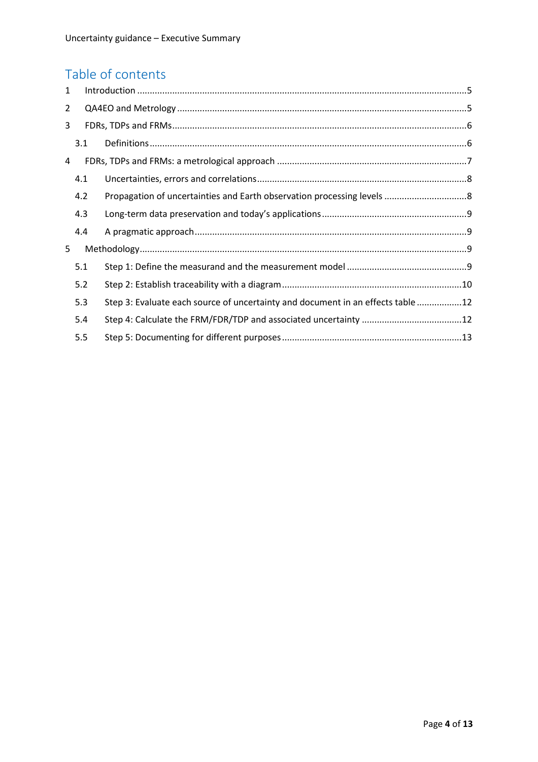# Table of contents

| $\mathbf{1}$   |     |                                                                                 |  |  |  |
|----------------|-----|---------------------------------------------------------------------------------|--|--|--|
| $\overline{2}$ |     |                                                                                 |  |  |  |
| 3              |     |                                                                                 |  |  |  |
|                | 3.1 |                                                                                 |  |  |  |
| 4              |     |                                                                                 |  |  |  |
|                | 4.1 |                                                                                 |  |  |  |
|                | 4.2 |                                                                                 |  |  |  |
|                | 4.3 |                                                                                 |  |  |  |
|                | 4.4 |                                                                                 |  |  |  |
| 5              |     |                                                                                 |  |  |  |
|                | 5.1 |                                                                                 |  |  |  |
|                | 5.2 |                                                                                 |  |  |  |
|                | 5.3 | Step 3: Evaluate each source of uncertainty and document in an effects table 12 |  |  |  |
|                | 5.4 |                                                                                 |  |  |  |
|                | 5.5 |                                                                                 |  |  |  |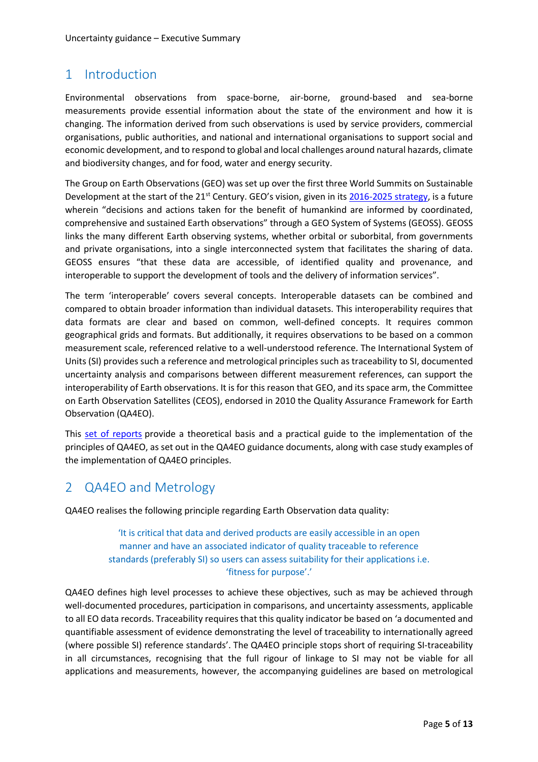# <span id="page-4-0"></span>1 Introduction

Environmental observations from space-borne, air-borne, ground-based and sea-borne measurements provide essential information about the state of the environment and how it is changing. The information derived from such observations is used by service providers, commercial organisations, public authorities, and national and international organisations to support social and economic development, and to respond to global and local challenges around natural hazards, climate and biodiversity changes, and for food, water and energy security.

The Group on Earth Observations (GEO) was set up over the first three World Summits on Sustainable Development at the start of the 21<sup>st</sup> Century. GEO's vision, given in its [2016-2025 strategy,](https://www.earthobservations.org/documents.php?smid=200) is a future wherein "decisions and actions taken for the benefit of humankind are informed by coordinated, comprehensive and sustained Earth observations" through a GEO System of Systems (GEOSS). GEOSS links the many different Earth observing systems, whether orbital or suborbital, from governments and private organisations, into a single interconnected system that facilitates the sharing of data. GEOSS ensures "that these data are accessible, of identified quality and provenance, and interoperable to support the development of tools and the delivery of information services".

The term 'interoperable' covers several concepts. Interoperable datasets can be combined and compared to obtain broader information than individual datasets. This interoperability requires that data formats are clear and based on common, well-defined concepts. It requires common geographical grids and formats. But additionally, it requires observations to be based on a common measurement scale, referenced relative to a well-understood reference. The International System of Units (SI) provides such a reference and metrological principles such as traceability to SI, documented uncertainty analysis and comparisons between different measurement references, can support the interoperability of Earth observations. It is for this reason that GEO, and its space arm, the Committee on Earth Observation Satellites (CEOS), endorsed in 2010 the Quality Assurance Framework for Earth Observation (QA4EO).

This [set of reports](https://qa4eo.org/documents.html) provide a theoretical basis and a practical guide to the implementation of the principles of QA4EO, as set out in the QA4EO guidance documents, along with case study examples of the implementation of QA4EO principles.

# <span id="page-4-1"></span>2 QA4EO and Metrology

QA4EO realises the following principle regarding Earth Observation data quality:

'It is critical that data and derived products are easily accessible in an open manner and have an associated indicator of quality traceable to reference standards (preferably SI) so users can assess suitability for their applications i.e. 'fitness for purpose'.'

QA4EO defines high level processes to achieve these objectives, such as may be achieved through well-documented procedures, participation in comparisons, and uncertainty assessments, applicable to all EO data records. Traceability requires that this quality indicator be based on 'a documented and quantifiable assessment of evidence demonstrating the level of traceability to internationally agreed (where possible SI) reference standards'. The QA4EO principle stops short of requiring SI-traceability in all circumstances, recognising that the full rigour of linkage to SI may not be viable for all applications and measurements, however, the accompanying guidelines are based on metrological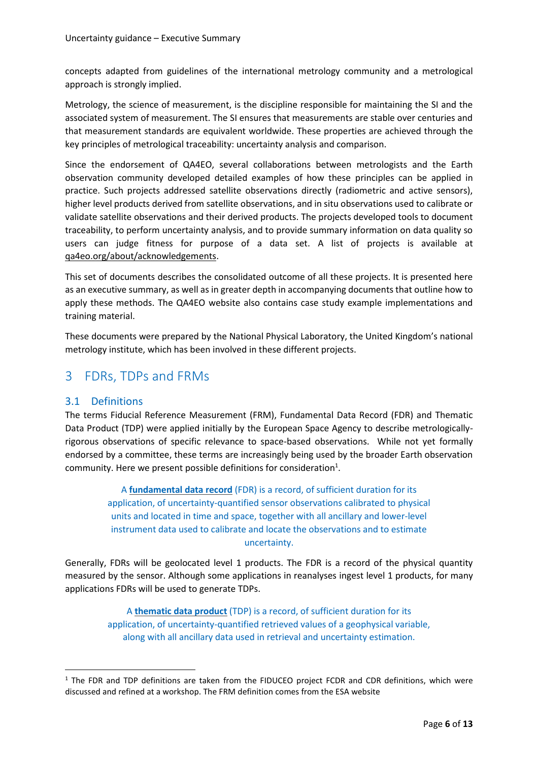concepts adapted from guidelines of the international metrology community and a metrological approach is strongly implied.

Metrology, the science of measurement, is the discipline responsible for maintaining the SI and the associated system of measurement. The SI ensures that measurements are stable over centuries and that measurement standards are equivalent worldwide. These properties are achieved through the key principles of metrological traceability: uncertainty analysis and comparison.

Since the endorsement of QA4EO, several collaborations between metrologists and the Earth observation community developed detailed examples of how these principles can be applied in practice. Such projects addressed satellite observations directly (radiometric and active sensors), higher level products derived from satellite observations, and in situ observations used to calibrate or validate satellite observations and their derived products. The projects developed tools to document traceability, to perform uncertainty analysis, and to provide summary information on data quality so users can judge fitness for purpose of a data set. A list of projects is available at [qa4eo.org/about/acknowledgements.](https://qa4eo.org/about/acknowledgements)

This set of documents describes the consolidated outcome of all these projects. It is presented here as an executive summary, as well as in greater depth in accompanying documents that outline how to apply these methods. The QA4EO website also contains case study example implementations and training material.

These documents were prepared by the National Physical Laboratory, the United Kingdom's national metrology institute, which has been involved in these different projects.

# <span id="page-5-0"></span>3 FDRs, TDPs and FRMs

#### <span id="page-5-1"></span>3.1 Definitions

The terms Fiducial Reference Measurement (FRM), Fundamental Data Record (FDR) and Thematic Data Product (TDP) were applied initially by the European Space Agency to describe metrologicallyrigorous observations of specific relevance to space-based observations. While not yet formally endorsed by a committee, these terms are increasingly being used by the broader Earth observation community. Here we present possible definitions for consideration $^1$ .

> A **fundamental data record** (FDR) is a record, of sufficient duration for its application, of uncertainty-quantified sensor observations calibrated to physical units and located in time and space, together with all ancillary and lower-level instrument data used to calibrate and locate the observations and to estimate uncertainty.

Generally, FDRs will be geolocated level 1 products. The FDR is a record of the physical quantity measured by the sensor. Although some applications in reanalyses ingest level 1 products, for many applications FDRs will be used to generate TDPs.

> A **thematic data product** (TDP) is a record, of sufficient duration for its application, of uncertainty-quantified retrieved values of a geophysical variable, along with all ancillary data used in retrieval and uncertainty estimation.

 $1$  The FDR and TDP definitions are taken from the FIDUCEO project FCDR and CDR definitions, which were discussed and refined at a workshop. The FRM definition comes from the ESA website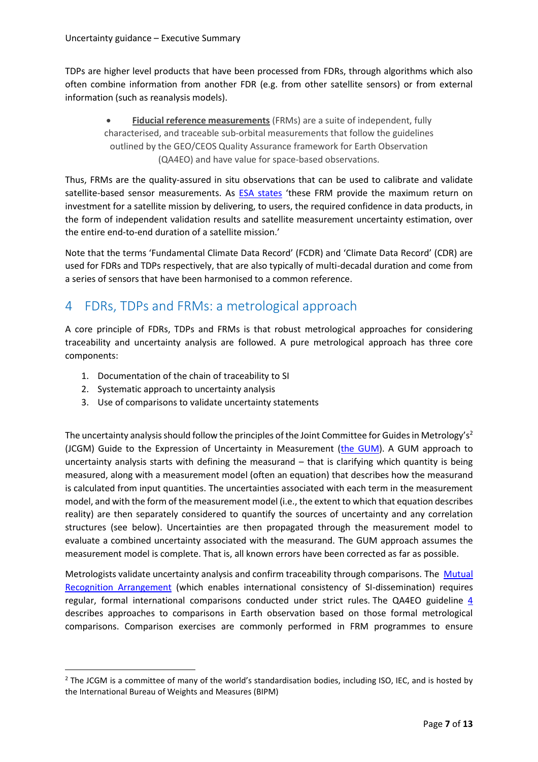TDPs are higher level products that have been processed from FDRs, through algorithms which also often combine information from another FDR (e.g. from other satellite sensors) or from external information (such as reanalysis models).

**Fiducial reference measurements** (FRMs) are a suite of independent, fully characterised, and traceable sub-orbital measurements that follow the guidelines outlined by the GEO/CEOS Quality Assurance framework for Earth Observation (QA4EO) and have value for space-based observations.

Thus, FRMs are the quality-assured in situ observations that can be used to calibrate and validate satellite-based sensor measurements. As [ESA states](https://earth.esa.int/eogateway/activities/frm-boussole) 'these FRM provide the maximum return on investment for a satellite mission by delivering, to users, the required confidence in data products, in the form of independent validation results and satellite measurement uncertainty estimation, over the entire end-to-end duration of a satellite mission.'

Note that the terms 'Fundamental Climate Data Record' (FCDR) and 'Climate Data Record' (CDR) are used for FDRs and TDPs respectively, that are also typically of multi-decadal duration and come from a series of sensors that have been harmonised to a common reference.

### <span id="page-6-0"></span>4 FDRs, TDPs and FRMs: a metrological approach

A core principle of FDRs, TDPs and FRMs is that robust metrological approaches for considering traceability and uncertainty analysis are followed. A pure metrological approach has three core components:

- 1. Documentation of the chain of traceability to SI
- 2. Systematic approach to uncertainty analysis
- 3. Use of comparisons to validate uncertainty statements

The uncertainty analysis should follow the principles of the Joint Committee for Guides in Metrology's<sup>2</sup> (JCGM) Guide to the Expression of Uncertainty in Measurement [\(the GUM\)](https://www.bipm.org/en/committees/jc/jcgm/publications). A GUM approach to uncertainty analysis starts with defining the measurand – that is clarifying which quantity is being measured, along with a measurement model (often an equation) that describes how the measurand is calculated from input quantities. The uncertainties associated with each term in the measurement model, and with the form of the measurement model (i.e., the extent to which that equation describes reality) are then separately considered to quantify the sources of uncertainty and any correlation structures (see below). Uncertainties are then propagated through the measurement model to evaluate a combined uncertainty associated with the measurand. The GUM approach assumes the measurement model is complete. That is, all known errors have been corrected as far as possible.

Metrologists validate uncertainty analysis and confirm traceability through comparisons. The Mutual [Recognition Arrangement](https://www.bipm.org/en/cipm-mra/?msclkid=8d11237ad0f111ec91335992eff55e80) (which enables international consistency of SI-dissemination) requires regular, formal international comparisons conducted under strict rules. The [QA4EO guideline 4](http://qa4eo.org/docs/QA4EO-QAEO-GEN-DQK-004_v4.0.pdf) describes approaches to comparisons in Earth observation based on those formal metrological comparisons. Comparison exercises are commonly performed in FRM programmes to ensure

<sup>&</sup>lt;sup>2</sup> The JCGM is a committee of many of the world's standardisation bodies, including ISO, IEC, and is hosted by the International Bureau of Weights and Measures (BIPM)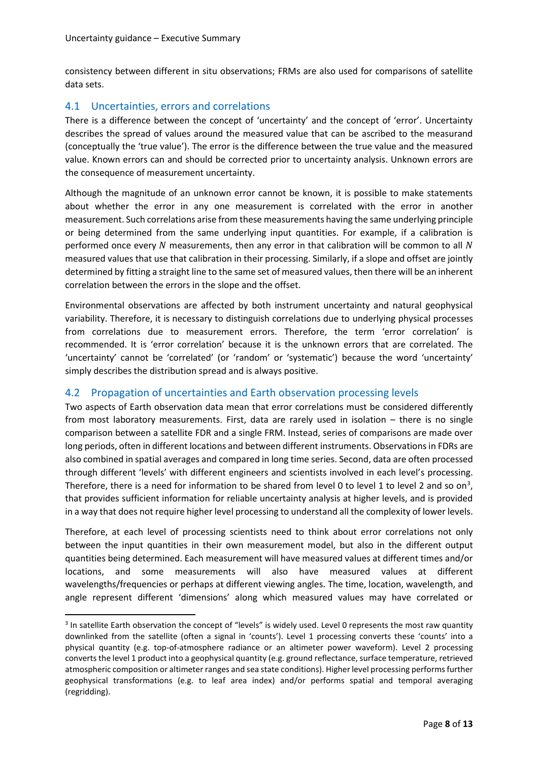consistency between different in situ observations; FRMs are also used for comparisons of satellite data sets.

#### <span id="page-7-0"></span>4.1 Uncertainties, errors and correlations

There is a difference between the concept of 'uncertainty' and the concept of 'error'. Uncertainty describes the spread of values around the measured value that can be ascribed to the measurand (conceptually the 'true value'). The error is the difference between the true value and the measured value. Known errors can and should be corrected prior to uncertainty analysis. Unknown errors are the consequence of measurement uncertainty.

Although the magnitude of an unknown error cannot be known, it is possible to make statements about whether the error in any one measurement is correlated with the error in another measurement. Such correlations arise from these measurements having the same underlying principle or being determined from the same underlying input quantities. For example, if a calibration is performed once every  $N$  measurements, then any error in that calibration will be common to all  $N$ measured values that use that calibration in their processing. Similarly, if a slope and offset are jointly determined by fitting a straight line to the same set of measured values, then there will be an inherent correlation between the errors in the slope and the offset.

Environmental observations are affected by both instrument uncertainty and natural geophysical variability. Therefore, it is necessary to distinguish correlations due to underlying physical processes from correlations due to measurement errors. Therefore, the term 'error correlation' is recommended. It is 'error correlation' because it is the unknown errors that are correlated. The 'uncertainty' cannot be 'correlated' (or 'random' or 'systematic') because the word 'uncertainty' simply describes the distribution spread and is always positive.

#### <span id="page-7-1"></span>4.2 Propagation of uncertainties and Earth observation processing levels

Two aspects of Earth observation data mean that error correlations must be considered differently from most laboratory measurements. First, data are rarely used in isolation – there is no single comparison between a satellite FDR and a single FRM. Instead, series of comparisons are made over long periods, often in different locations and between different instruments. Observations in FDRs are also combined in spatial averages and compared in long time series. Second, data are often processed through different 'levels' with different engineers and scientists involved in each level's processing. Therefore, there is a need for information to be shared from level 0 to level 1 to level 2 and so on<sup>3</sup>, that provides sufficient information for reliable uncertainty analysis at higher levels, and is provided in a way that does not require higher level processing to understand all the complexity of lower levels.

Therefore, at each level of processing scientists need to think about error correlations not only between the input quantities in their own measurement model, but also in the different output quantities being determined. Each measurement will have measured values at different times and/or locations, and some measurements will also have measured values at different wavelengths/frequencies or perhaps at different viewing angles. The time, location, wavelength, and angle represent different 'dimensions' along which measured values may have correlated or

 $3$  In satellite Earth observation the concept of "levels" is widely used. Level 0 represents the most raw quantity downlinked from the satellite (often a signal in 'counts'). Level 1 processing converts these 'counts' into a physical quantity (e.g. top-of-atmosphere radiance or an altimeter power waveform). Level 2 processing converts the level 1 product into a geophysical quantity (e.g. ground reflectance, surface temperature, retrieved atmospheric composition or altimeter ranges and sea state conditions). Higher level processing performs further geophysical transformations (e.g. to leaf area index) and/or performs spatial and temporal averaging (regridding).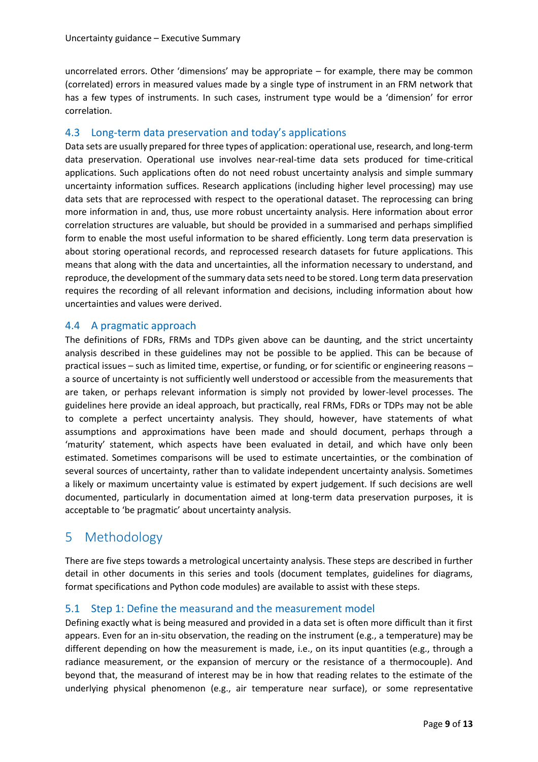uncorrelated errors. Other 'dimensions' may be appropriate – for example, there may be common (correlated) errors in measured values made by a single type of instrument in an FRM network that has a few types of instruments. In such cases, instrument type would be a 'dimension' for error correlation.

#### <span id="page-8-0"></span>4.3 Long-term data preservation and today's applications

Data sets are usually prepared for three types of application: operational use, research, and long-term data preservation. Operational use involves near-real-time data sets produced for time-critical applications. Such applications often do not need robust uncertainty analysis and simple summary uncertainty information suffices. Research applications (including higher level processing) may use data sets that are reprocessed with respect to the operational dataset. The reprocessing can bring more information in and, thus, use more robust uncertainty analysis. Here information about error correlation structures are valuable, but should be provided in a summarised and perhaps simplified form to enable the most useful information to be shared efficiently. Long term data preservation is about storing operational records, and reprocessed research datasets for future applications. This means that along with the data and uncertainties, all the information necessary to understand, and reproduce, the development of the summary data sets need to be stored. Long term data preservation requires the recording of all relevant information and decisions, including information about how uncertainties and values were derived.

#### <span id="page-8-1"></span>4.4 A pragmatic approach

The definitions of FDRs, FRMs and TDPs given above can be daunting, and the strict uncertainty analysis described in these guidelines may not be possible to be applied. This can be because of practical issues – such as limited time, expertise, or funding, or for scientific or engineering reasons – a source of uncertainty is not sufficiently well understood or accessible from the measurements that are taken, or perhaps relevant information is simply not provided by lower-level processes. The guidelines here provide an ideal approach, but practically, real FRMs, FDRs or TDPs may not be able to complete a perfect uncertainty analysis. They should, however, have statements of what assumptions and approximations have been made and should document, perhaps through a 'maturity' statement, which aspects have been evaluated in detail, and which have only been estimated. Sometimes comparisons will be used to estimate uncertainties, or the combination of several sources of uncertainty, rather than to validate independent uncertainty analysis. Sometimes a likely or maximum uncertainty value is estimated by expert judgement. If such decisions are well documented, particularly in documentation aimed at long-term data preservation purposes, it is acceptable to 'be pragmatic' about uncertainty analysis.

# <span id="page-8-2"></span>5 Methodology

There are five steps towards a metrological uncertainty analysis. These steps are described in further detail in other documents in this series and tools (document templates, guidelines for diagrams, format specifications and Python code modules) are available to assist with these steps.

#### <span id="page-8-3"></span>5.1 Step 1: Define the measurand and the measurement model

Defining exactly what is being measured and provided in a data set is often more difficult than it first appears. Even for an in-situ observation, the reading on the instrument (e.g., a temperature) may be different depending on how the measurement is made, i.e., on its input quantities (e.g., through a radiance measurement, or the expansion of mercury or the resistance of a thermocouple). And beyond that, the measurand of interest may be in how that reading relates to the estimate of the underlying physical phenomenon (e.g., air temperature near surface), or some representative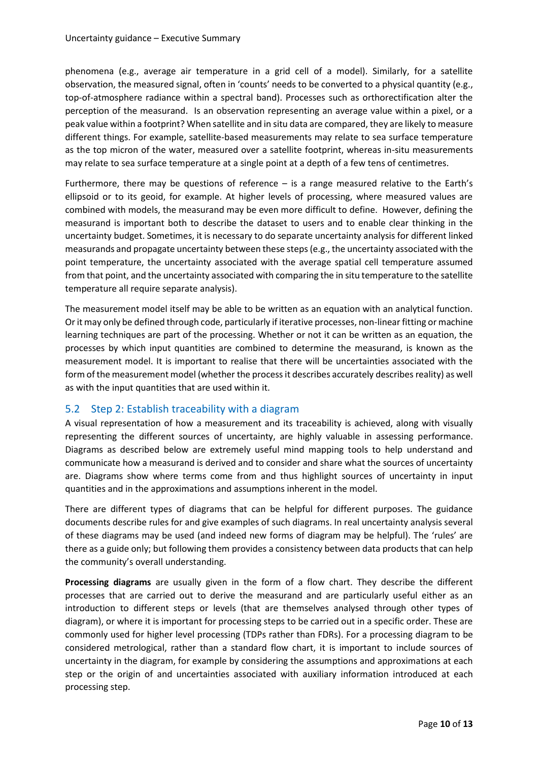phenomena (e.g., average air temperature in a grid cell of a model). Similarly, for a satellite observation, the measured signal, often in 'counts' needs to be converted to a physical quantity (e.g., top-of-atmosphere radiance within a spectral band). Processes such as orthorectification alter the perception of the measurand. Is an observation representing an average value within a pixel, or a peak value within a footprint? When satellite and in situ data are compared, they are likely to measure different things. For example, satellite-based measurements may relate to sea surface temperature as the top micron of the water, measured over a satellite footprint, whereas in-situ measurements may relate to sea surface temperature at a single point at a depth of a few tens of centimetres.

Furthermore, there may be questions of reference – is a range measured relative to the Earth's ellipsoid or to its geoid, for example. At higher levels of processing, where measured values are combined with models, the measurand may be even more difficult to define. However, defining the measurand is important both to describe the dataset to users and to enable clear thinking in the uncertainty budget. Sometimes, it is necessary to do separate uncertainty analysis for different linked measurands and propagate uncertainty between these steps(e.g., the uncertainty associated with the point temperature, the uncertainty associated with the average spatial cell temperature assumed from that point, and the uncertainty associated with comparing the in situ temperature to the satellite temperature all require separate analysis).

The measurement model itself may be able to be written as an equation with an analytical function. Or it may only be defined through code, particularly if iterative processes, non-linear fitting or machine learning techniques are part of the processing. Whether or not it can be written as an equation, the processes by which input quantities are combined to determine the measurand, is known as the measurement model. It is important to realise that there will be uncertainties associated with the form of the measurement model (whether the process it describes accurately describes reality) as well as with the input quantities that are used within it.

#### <span id="page-9-0"></span>5.2 Step 2: Establish traceability with a diagram

A visual representation of how a measurement and its traceability is achieved, along with visually representing the different sources of uncertainty, are highly valuable in assessing performance. Diagrams as described below are extremely useful mind mapping tools to help understand and communicate how a measurand is derived and to consider and share what the sources of uncertainty are. Diagrams show where terms come from and thus highlight sources of uncertainty in input quantities and in the approximations and assumptions inherent in the model.

There are different types of diagrams that can be helpful for different purposes. The guidance documents describe rules for and give examples of such diagrams. In real uncertainty analysis several of these diagrams may be used (and indeed new forms of diagram may be helpful). The 'rules' are there as a guide only; but following them provides a consistency between data products that can help the community's overall understanding.

**Processing diagrams** are usually given in the form of a flow chart. They describe the different processes that are carried out to derive the measurand and are particularly useful either as an introduction to different steps or levels (that are themselves analysed through other types of diagram), or where it is important for processing steps to be carried out in a specific order. These are commonly used for higher level processing (TDPs rather than FDRs). For a processing diagram to be considered metrological, rather than a standard flow chart, it is important to include sources of uncertainty in the diagram, for example by considering the assumptions and approximations at each step or the origin of and uncertainties associated with auxiliary information introduced at each processing step.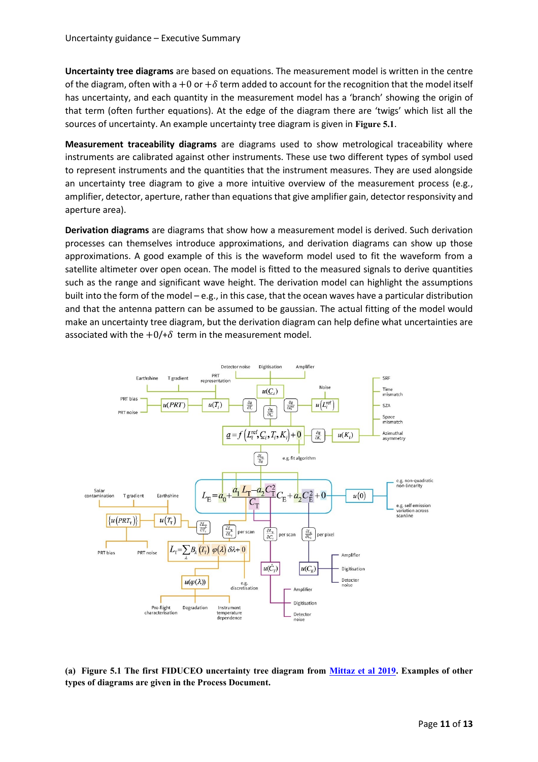**Uncertainty tree diagrams** are based on equations. The measurement model is written in the centre of the diagram, often with a +0 or + $\delta$  term added to account for the recognition that the model itself has uncertainty, and each quantity in the measurement model has a 'branch' showing the origin of that term (often further equations). At the edge of the diagram there are 'twigs' which list all the sources of uncertainty. An example uncertainty tree diagram is given in **[Figure 5.1](#page-10-0)**.

**Measurement traceability diagrams** are diagrams used to show metrological traceability where instruments are calibrated against other instruments. These use two different types of symbol used to represent instruments and the quantities that the instrument measures. They are used alongside an uncertainty tree diagram to give a more intuitive overview of the measurement process (e.g., amplifier, detector, aperture, rather than equations that give amplifier gain, detector responsivity and aperture area).

**Derivation diagrams** are diagrams that show how a measurement model is derived. Such derivation processes can themselves introduce approximations, and derivation diagrams can show up those approximations. A good example of this is the waveform model used to fit the waveform from a satellite altimeter over open ocean. The model is fitted to the measured signals to derive quantities such as the range and significant wave height. The derivation model can highlight the assumptions built into the form of the model – e.g., in this case, that the ocean waves have a particular distribution and that the antenna pattern can be assumed to be gaussian. The actual fitting of the model would make an uncertainty tree diagram, but the derivation diagram can help define what uncertainties are associated with the  $+0/+\delta$  term in the measurement model.



<span id="page-10-0"></span>**(a) Figure 5.1 The first FIDUCEO uncertainty tree diagram from [Mittaz et al 2019.](https://doi.org/10.1088/1681-7575/ab1705) Examples of other types of diagrams are given in the Process Document.**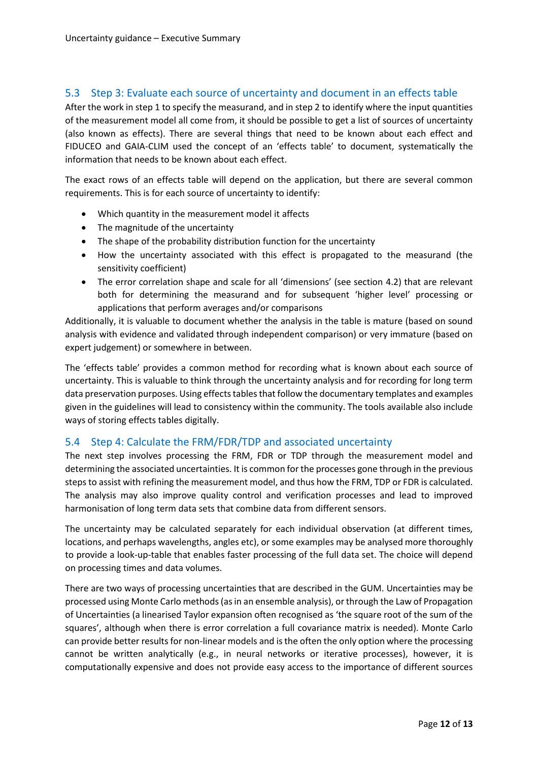#### <span id="page-11-0"></span>5.3 Step 3: Evaluate each source of uncertainty and document in an effects table

After the work in step 1 to specify the measurand, and in step 2 to identify where the input quantities of the measurement model all come from, it should be possible to get a list of sources of uncertainty (also known as effects). There are several things that need to be known about each effect and FIDUCEO and GAIA-CLIM used the concept of an 'effects table' to document, systematically the information that needs to be known about each effect.

The exact rows of an effects table will depend on the application, but there are several common requirements. This is for each source of uncertainty to identify:

- Which quantity in the measurement model it affects
- The magnitude of the uncertainty
- The shape of the probability distribution function for the uncertainty
- How the uncertainty associated with this effect is propagated to the measurand (the sensitivity coefficient)
- The error correlation shape and scale for all 'dimensions' (see section [4.2\)](#page-7-1) that are relevant both for determining the measurand and for subsequent 'higher level' processing or applications that perform averages and/or comparisons

Additionally, it is valuable to document whether the analysis in the table is mature (based on sound analysis with evidence and validated through independent comparison) or very immature (based on expert judgement) or somewhere in between.

The 'effects table' provides a common method for recording what is known about each source of uncertainty. This is valuable to think through the uncertainty analysis and for recording for long term data preservation purposes. Using effects tables that follow the documentary templates and examples given in the guidelines will lead to consistency within the community. The tools available also include ways of storing effects tables digitally.

#### <span id="page-11-1"></span>5.4 Step 4: Calculate the FRM/FDR/TDP and associated uncertainty

The next step involves processing the FRM, FDR or TDP through the measurement model and determining the associated uncertainties. It is common for the processes gone through in the previous steps to assist with refining the measurement model, and thus how the FRM, TDP or FDR is calculated. The analysis may also improve quality control and verification processes and lead to improved harmonisation of long term data sets that combine data from different sensors.

The uncertainty may be calculated separately for each individual observation (at different times, locations, and perhaps wavelengths, angles etc), or some examples may be analysed more thoroughly to provide a look-up-table that enables faster processing of the full data set. The choice will depend on processing times and data volumes.

There are two ways of processing uncertainties that are described in the GUM. Uncertainties may be processed using Monte Carlo methods (as in an ensemble analysis), or through the Law of Propagation of Uncertainties (a linearised Taylor expansion often recognised as 'the square root of the sum of the squares', although when there is error correlation a full covariance matrix is needed). Monte Carlo can provide better results for non-linear models and is the often the only option where the processing cannot be written analytically (e.g., in neural networks or iterative processes), however, it is computationally expensive and does not provide easy access to the importance of different sources